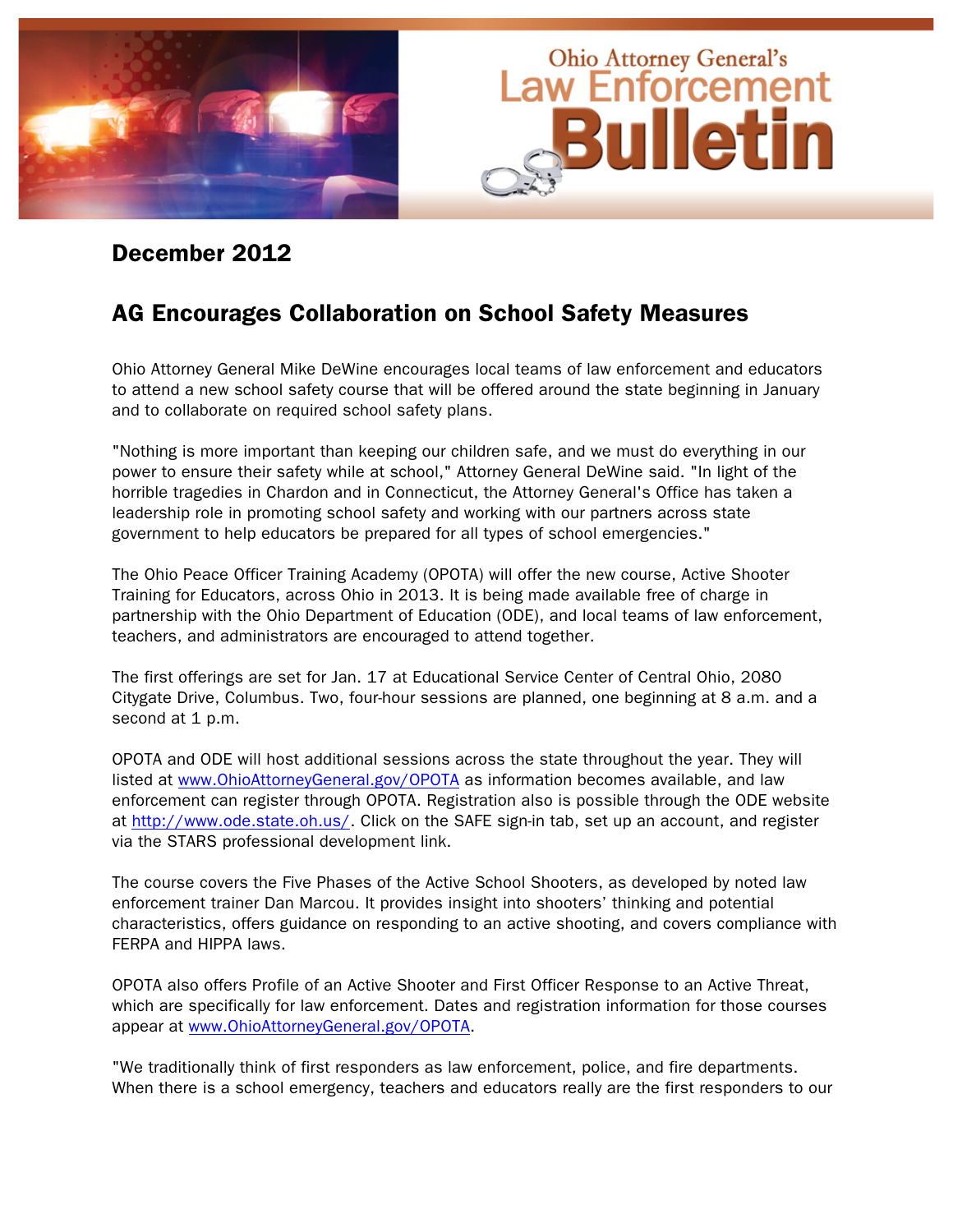

#### December 2012

#### AG Encourages Collaboration on School Safety Measures

Ohio Attorney General Mike DeWine encourages local teams of law enforcement and educators to attend a new school safety course that will be offered around the state beginning in January and to collaborate on required school safety plans.

"Nothing is more important than keeping our children safe, and we must do everything in our power to ensure their safety while at school," Attorney General DeWine said. "In light of the horrible tragedies in Chardon and in Connecticut, the Attorney General's Office has taken a leadership role in promoting school safety and working with our partners across state government to help educators be prepared for all types of school emergencies."

The Ohio Peace Officer Training Academy (OPOTA) will offer the new course, Active Shooter Training for Educators, across Ohio in 2013. It is being made available free of charge in partnership with the Ohio Department of Education (ODE), and local teams of law enforcement, teachers, and administrators are encouraged to attend together.

The first offerings are set for Jan. 17 at Educational Service Center of Central Ohio, 2080 Citygate Drive, Columbus. Two, four-hour sessions are planned, one beginning at 8 a.m. and a second at 1 p.m.

OPOTA and ODE will host additional sessions across the state throughout the year. They will listed at www.OhioAttorneyGeneral.gov/OPOTA as information becomes available, and law enforcement can register through OPOTA. Registration also is possible through the ODE website at http://www.ode.state.oh.us/. Click on the SAFE sign-in tab, set up an account, and register via the STARS professional development link.

The course covers the Five Phases of the Active School Shooters, as developed by noted law enforcement trainer Dan Marcou. It provides insight into shooters' thinking and potential characteristics, offers guidance on responding to an active shooting, and covers compliance with FERPA and HIPPA laws.

OPOTA also offers Profile of an Active Shooter and First Officer Response to an Active Threat, which are specifically for law enforcement. Dates and registration information for those courses appear at www.OhioAttorneyGeneral.gov/OPOTA.

"We traditionally think of first responders as law enforcement, police, and fire departments. When there is a school emergency, teachers and educators really are the first responders to our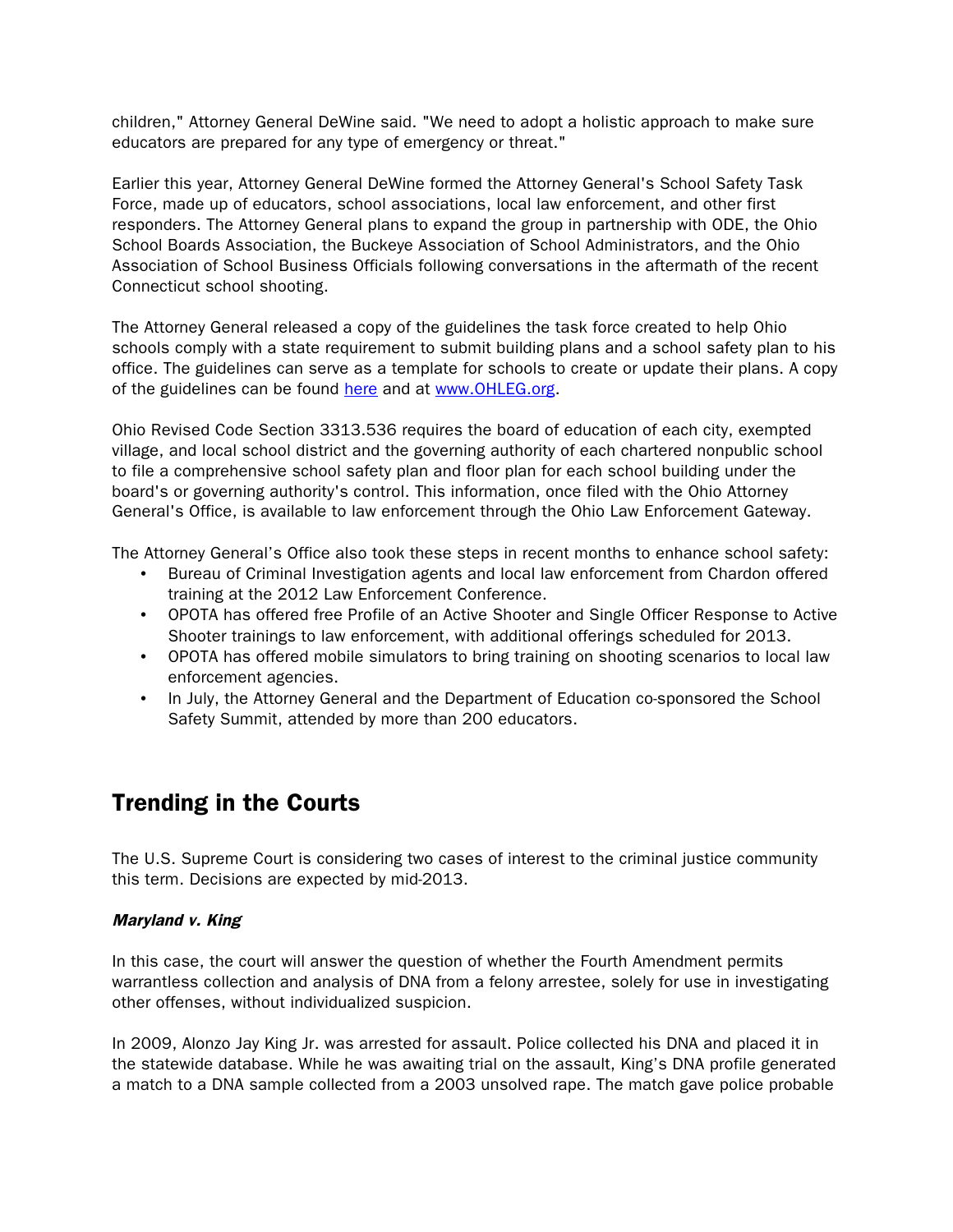children," Attorney General DeWine said. "We need to adopt a holistic approach to make sure educators are prepared for any type of emergency or threat."

Earlier this year, Attorney General DeWine formed the Attorney General's School Safety Task Force, made up of educators, school associations, local law enforcement, and other first responders. The Attorney General plans to expand the group in partnership with ODE, the Ohio School Boards Association, the Buckeye Association of School Administrators, and the Ohio Association of School Business Officials following conversations in the aftermath of the recent Connecticut school shooting.

The Attorney General released a copy of the guidelines the task force created to help Ohio schools comply with a state requirement to submit building plans and a school safety plan to his office. The guidelines can serve as a template for schools to create or update their plans. A copy of the guidelines can be found [here](http://cl.publicaster.com/ClickThru.aspx?pubids=177%7c75202%7c22849%7c6835&digest=tzin7n93%2fgwGp9wg16HSnw&sysid=1) and at www.OHLEG.org.

Ohio Revised Code Section 3313.536 requires the board of education of each city, exempted village, and local school district and the governing authority of each chartered nonpublic school to file a comprehensive school safety plan and floor plan for each school building under the board's or governing authority's control. This information, once filed with the Ohio Attorney General's Office, is available to law enforcement through the Ohio Law Enforcement Gateway.

The Attorney General's Office also took these steps in recent months to enhance school safety:

- Bureau of Criminal Investigation agents and local law enforcement from Chardon offered training at the 2012 Law Enforcement Conference.
- OPOTA has offered free Profile of an Active Shooter and Single Officer Response to Active Shooter trainings to law enforcement, with additional offerings scheduled for 2013.
- OPOTA has offered mobile simulators to bring training on shooting scenarios to local law enforcement agencies.
- In July, the Attorney General and the Department of Education co-sponsored the School Safety Summit, attended by more than 200 educators.

#### Trending in the Courts

The U.S. Supreme Court is considering two cases of interest to the criminal justice community this term. Decisions are expected by mid-2013.

#### Maryland v. King

In this case, the court will answer the question of whether the Fourth Amendment permits warrantless collection and analysis of DNA from a felony arrestee, solely for use in investigating other offenses, without individualized suspicion.

In 2009, Alonzo Jay King Jr. was arrested for assault. Police collected his DNA and placed it in the statewide database. While he was awaiting trial on the assault, King's DNA profile generated a match to a DNA sample collected from a 2003 unsolved rape. The match gave police probable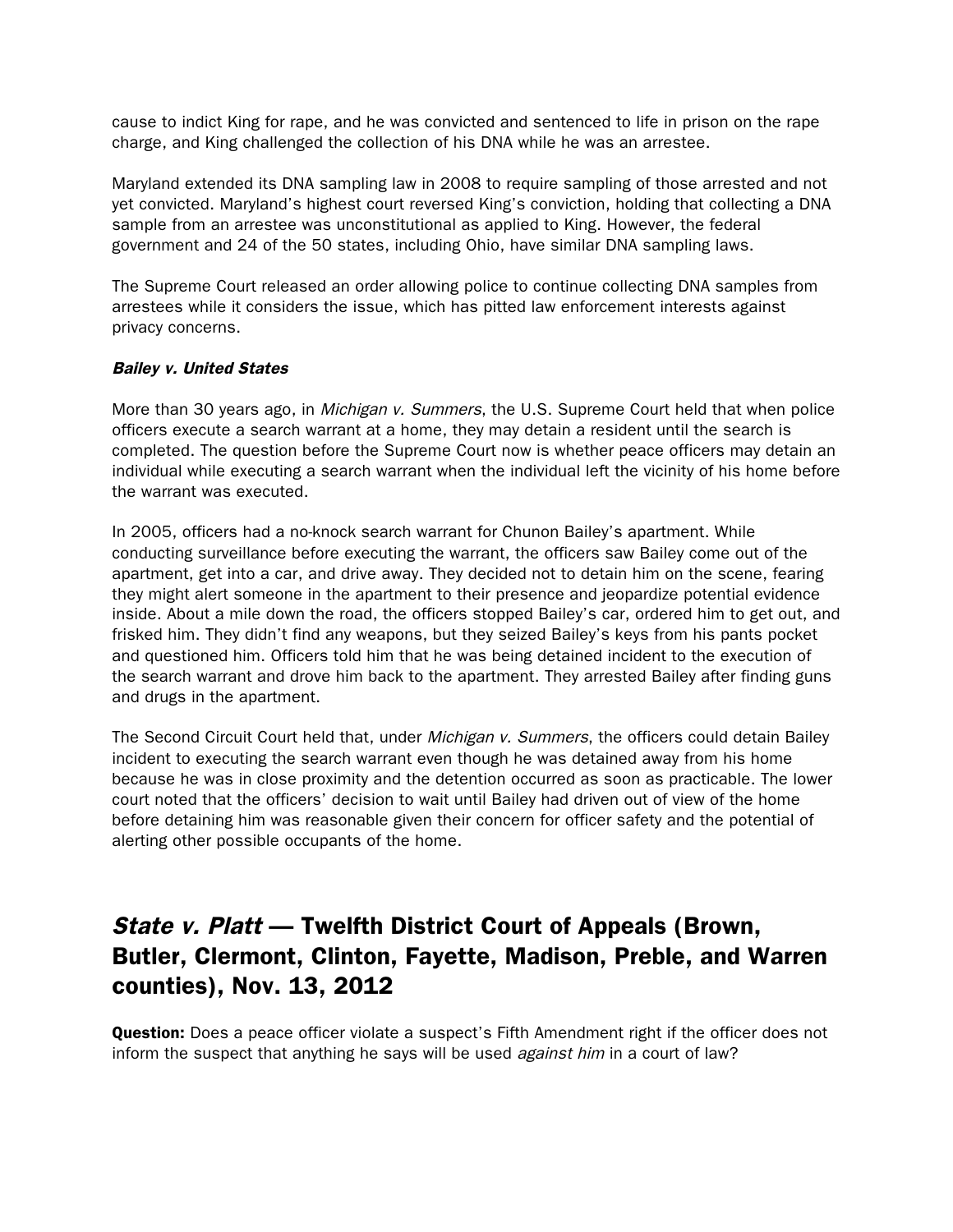cause to indict King for rape, and he was convicted and sentenced to life in prison on the rape charge, and King challenged the collection of his DNA while he was an arrestee.

Maryland extended its DNA sampling law in 2008 to require sampling of those arrested and not yet convicted. Maryland's highest court reversed King's conviction, holding that collecting a DNA sample from an arrestee was unconstitutional as applied to King. However, the federal government and 24 of the 50 states, including Ohio, have similar DNA sampling laws.

The Supreme Court released an order allowing police to continue collecting DNA samples from arrestees while it considers the issue, which has pitted law enforcement interests against privacy concerns.

#### Bailey v. United States

More than 30 years ago, in *Michigan v. Summers*, the U.S. Supreme Court held that when police officers execute a search warrant at a home, they may detain a resident until the search is completed. The question before the Supreme Court now is whether peace officers may detain an individual while executing a search warrant when the individual left the vicinity of his home before the warrant was executed.

In 2005, officers had a no-knock search warrant for Chunon Bailey's apartment. While conducting surveillance before executing the warrant, the officers saw Bailey come out of the apartment, get into a car, and drive away. They decided not to detain him on the scene, fearing they might alert someone in the apartment to their presence and jeopardize potential evidence inside. About a mile down the road, the officers stopped Bailey's car, ordered him to get out, and frisked him. They didn't find any weapons, but they seized Bailey's keys from his pants pocket and questioned him. Officers told him that he was being detained incident to the execution of the search warrant and drove him back to the apartment. They arrested Bailey after finding guns and drugs in the apartment.

The Second Circuit Court held that, under *Michigan v. Summers*, the officers could detain Bailey incident to executing the search warrant even though he was detained away from his home because he was in close proximity and the detention occurred as soon as practicable. The lower court noted that the officers' decision to wait until Bailey had driven out of view of the home before detaining him was reasonable given their concern for officer safety and the potential of alerting other possible occupants of the home.

# State v. Platt — Twelfth District Court of Appeals (Brown, Butler, Clermont, Clinton, Fayette, Madison, Preble, and Warren counties), Nov. 13, 2012

**Question:** Does a peace officer violate a suspect's Fifth Amendment right if the officer does not inform the suspect that anything he says will be used *against him* in a court of law?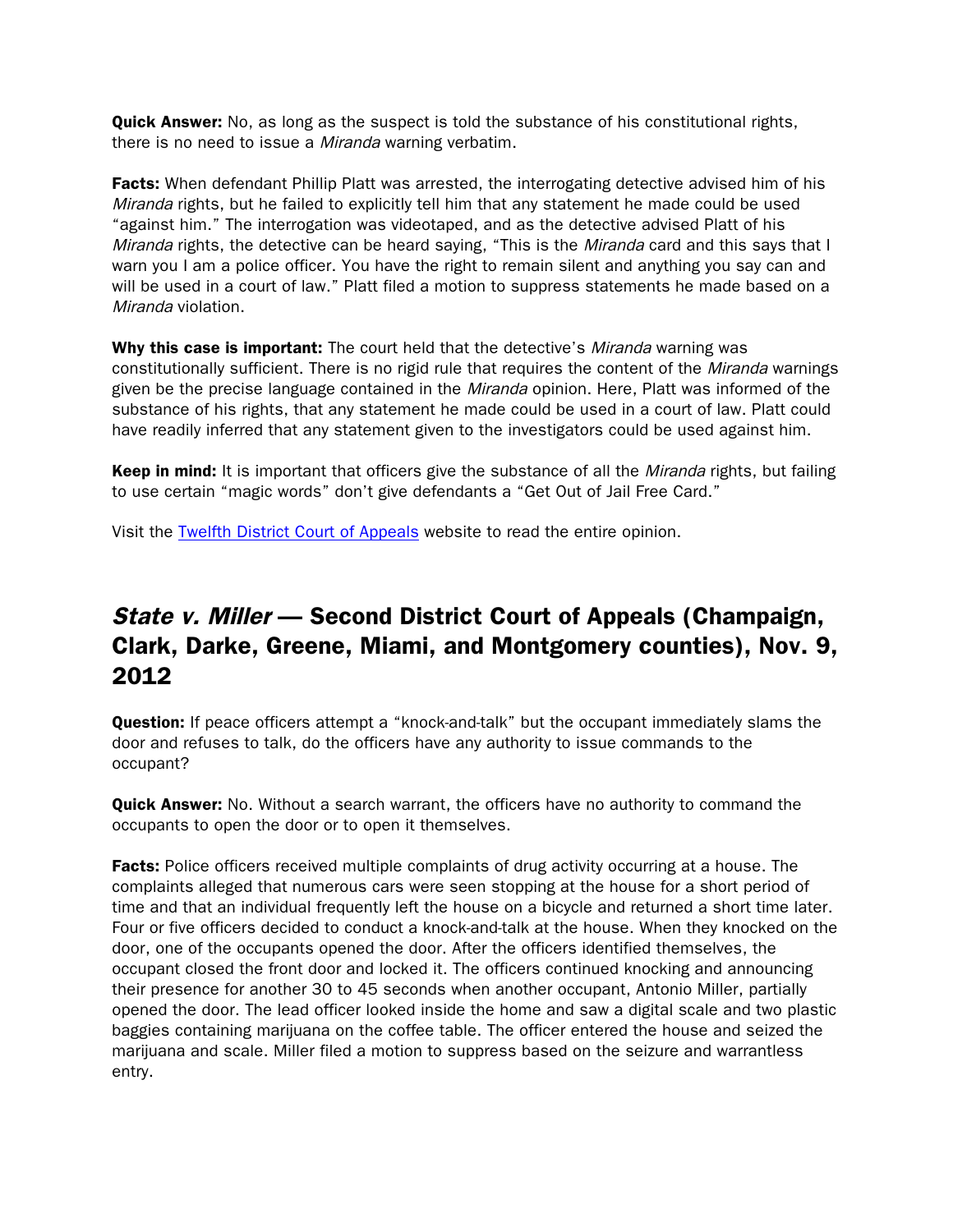**Quick Answer:** No, as long as the suspect is told the substance of his constitutional rights, there is no need to issue a *Miranda* warning verbatim.

**Facts:** When defendant Phillip Platt was arrested, the interrogating detective advised him of his Miranda rights, but he failed to explicitly tell him that any statement he made could be used "against him." The interrogation was videotaped, and as the detective advised Platt of his Miranda rights, the detective can be heard saying, "This is the Miranda card and this says that I warn you I am a police officer. You have the right to remain silent and anything you say can and will be used in a court of law." Platt filed a motion to suppress statements he made based on a Miranda violation.

Why this case is important: The court held that the detective's *Miranda* warning was constitutionally sufficient. There is no rigid rule that requires the content of the Miranda warnings given be the precise language contained in the *Miranda* opinion. Here, Platt was informed of the substance of his rights, that any statement he made could be used in a court of law. Platt could have readily inferred that any statement given to the investigators could be used against him.

Keep in mind: It is important that officers give the substance of all the *Miranda* rights, but failing to use certain "magic words" don't give defendants a "Get Out of Jail Free Card."

Visit the [Twelfth District Court of Appeals](http://www.supremecourt.ohio.gov/rod/docs/pdf/12/2012/2012-ohio-5240.pdf) website to read the entire opinion.

# State v. Miller — Second District Court of Appeals (Champaign, Clark, Darke, Greene, Miami, and Montgomery counties), Nov. 9, 2012

**Question:** If peace officers attempt a "knock-and-talk" but the occupant immediately slams the door and refuses to talk, do the officers have any authority to issue commands to the occupant?

Quick Answer: No. Without a search warrant, the officers have no authority to command the occupants to open the door or to open it themselves.

**Facts:** Police officers received multiple complaints of drug activity occurring at a house. The complaints alleged that numerous cars were seen stopping at the house for a short period of time and that an individual frequently left the house on a bicycle and returned a short time later. Four or five officers decided to conduct a knock-and-talk at the house. When they knocked on the door, one of the occupants opened the door. After the officers identified themselves, the occupant closed the front door and locked it. The officers continued knocking and announcing their presence for another 30 to 45 seconds when another occupant, Antonio Miller, partially opened the door. The lead officer looked inside the home and saw a digital scale and two plastic baggies containing marijuana on the coffee table. The officer entered the house and seized the marijuana and scale. Miller filed a motion to suppress based on the seizure and warrantless entry.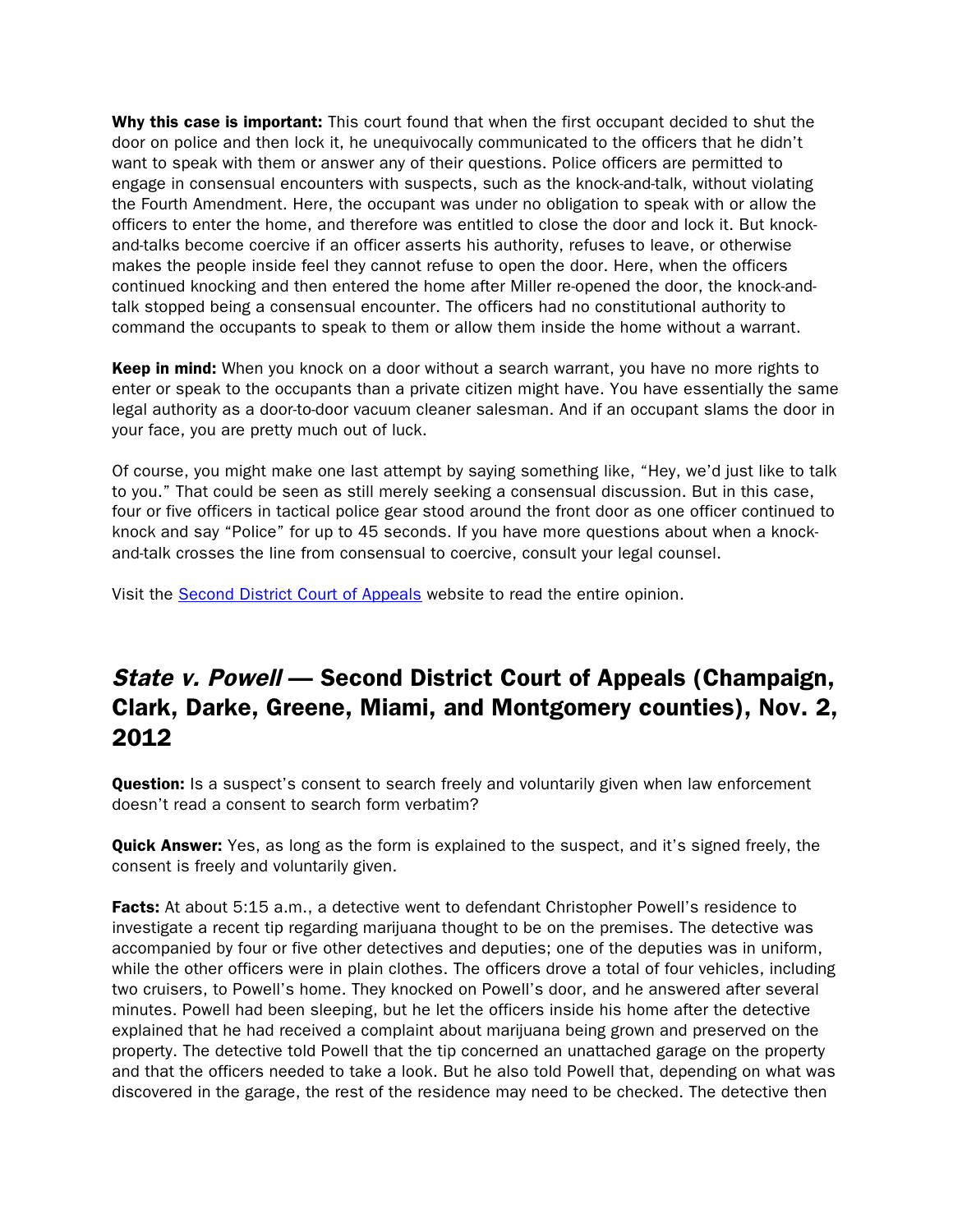Why this case is important: This court found that when the first occupant decided to shut the door on police and then lock it, he unequivocally communicated to the officers that he didn't want to speak with them or answer any of their questions. Police officers are permitted to engage in consensual encounters with suspects, such as the knock-and-talk, without violating the Fourth Amendment. Here, the occupant was under no obligation to speak with or allow the officers to enter the home, and therefore was entitled to close the door and lock it. But knockand-talks become coercive if an officer asserts his authority, refuses to leave, or otherwise makes the people inside feel they cannot refuse to open the door. Here, when the officers continued knocking and then entered the home after Miller re-opened the door, the knock-andtalk stopped being a consensual encounter. The officers had no constitutional authority to command the occupants to speak to them or allow them inside the home without a warrant.

Keep in mind: When you knock on a door without a search warrant, you have no more rights to enter or speak to the occupants than a private citizen might have. You have essentially the same legal authority as a door-to-door vacuum cleaner salesman. And if an occupant slams the door in your face, you are pretty much out of luck.

Of course, you might make one last attempt by saying something like, "Hey, we'd just like to talk to you." That could be seen as still merely seeking a consensual discussion. But in this case, four or five officers in tactical police gear stood around the front door as one officer continued to knock and say "Police" for up to 45 seconds. If you have more questions about when a knockand-talk crosses the line from consensual to coercive, consult your legal counsel.

Visit the [Second District Court of Appeals](http://www.supremecourt.ohio.gov/rod/docs/pdf/2/2012/2012-ohio-5206.pdf) website to read the entire opinion.

### State v. Powell — Second District Court of Appeals (Champaign, Clark, Darke, Greene, Miami, and Montgomery counties), Nov. 2, 2012

**Question:** Is a suspect's consent to search freely and voluntarily given when law enforcement doesn't read a consent to search form verbatim?

**Quick Answer:** Yes, as long as the form is explained to the suspect, and it's signed freely, the consent is freely and voluntarily given.

**Facts:** At about 5:15 a.m., a detective went to defendant Christopher Powell's residence to investigate a recent tip regarding marijuana thought to be on the premises. The detective was accompanied by four or five other detectives and deputies; one of the deputies was in uniform, while the other officers were in plain clothes. The officers drove a total of four vehicles, including two cruisers, to Powell's home. They knocked on Powell's door, and he answered after several minutes. Powell had been sleeping, but he let the officers inside his home after the detective explained that he had received a complaint about marijuana being grown and preserved on the property. The detective told Powell that the tip concerned an unattached garage on the property and that the officers needed to take a look. But he also told Powell that, depending on what was discovered in the garage, the rest of the residence may need to be checked. The detective then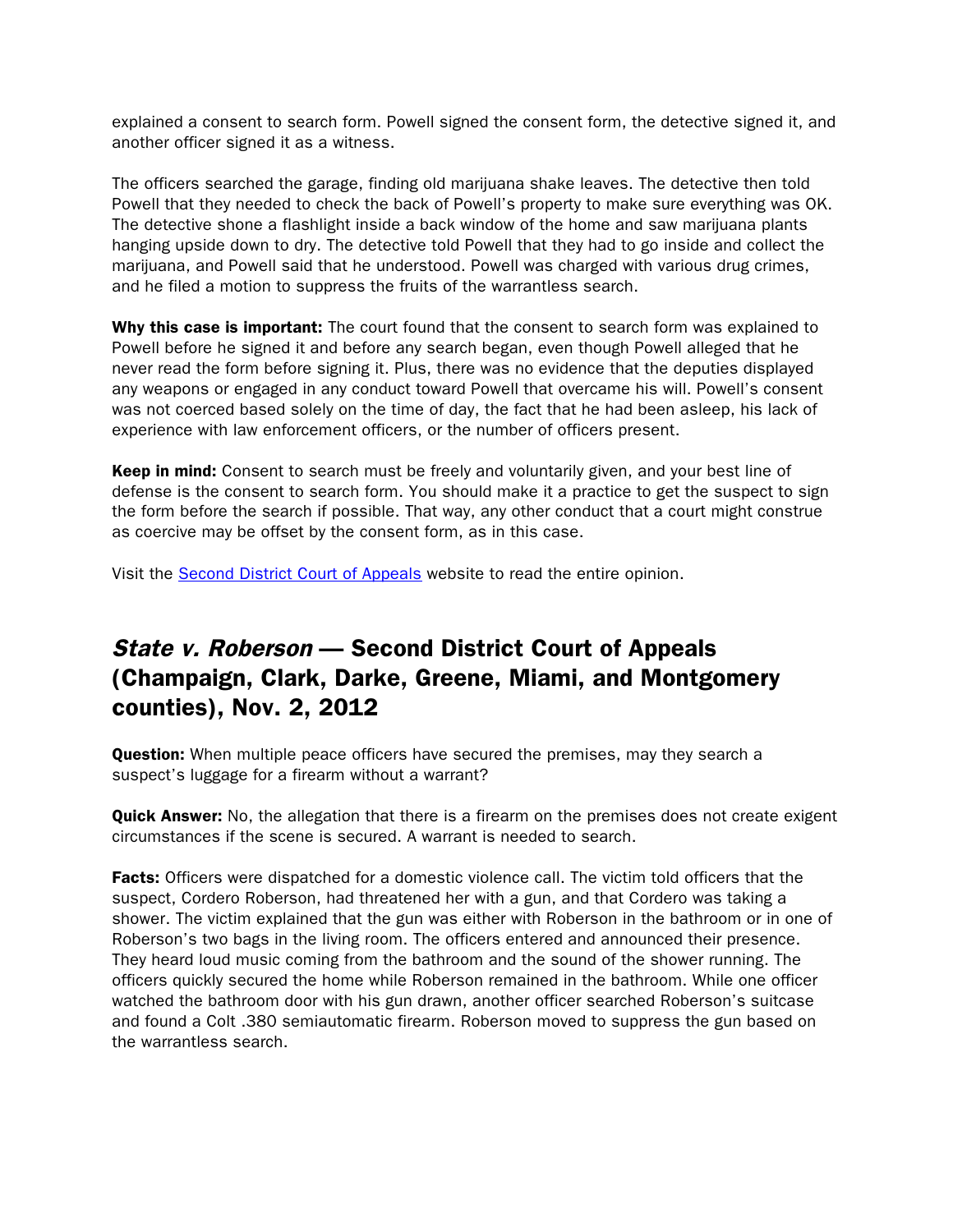explained a consent to search form. Powell signed the consent form, the detective signed it, and another officer signed it as a witness.

The officers searched the garage, finding old marijuana shake leaves. The detective then told Powell that they needed to check the back of Powell's property to make sure everything was OK. The detective shone a flashlight inside a back window of the home and saw marijuana plants hanging upside down to dry. The detective told Powell that they had to go inside and collect the marijuana, and Powell said that he understood. Powell was charged with various drug crimes, and he filed a motion to suppress the fruits of the warrantless search.

Why this case is important: The court found that the consent to search form was explained to Powell before he signed it and before any search began, even though Powell alleged that he never read the form before signing it. Plus, there was no evidence that the deputies displayed any weapons or engaged in any conduct toward Powell that overcame his will. Powell's consent was not coerced based solely on the time of day, the fact that he had been asleep, his lack of experience with law enforcement officers, or the number of officers present.

Keep in mind: Consent to search must be freely and voluntarily given, and your best line of defense is the consent to search form. You should make it a practice to get the suspect to sign the form before the search if possible. That way, any other conduct that a court might construe as coercive may be offset by the consent form, as in this case.

Visit the [Second District Court of Appeals](http://www.supremecourt.ohio.gov/rod/docs/pdf/2/2012/2012-ohio-5104.pdf) website to read the entire opinion.

### State v. Roberson — Second District Court of Appeals (Champaign, Clark, Darke, Greene, Miami, and Montgomery counties), Nov. 2, 2012

**Question:** When multiple peace officers have secured the premises, may they search a suspect's luggage for a firearm without a warrant?

**Quick Answer:** No, the allegation that there is a firearm on the premises does not create exigent circumstances if the scene is secured. A warrant is needed to search.

**Facts:** Officers were dispatched for a domestic violence call. The victim told officers that the suspect, Cordero Roberson, had threatened her with a gun, and that Cordero was taking a shower. The victim explained that the gun was either with Roberson in the bathroom or in one of Roberson's two bags in the living room. The officers entered and announced their presence. They heard loud music coming from the bathroom and the sound of the shower running. The officers quickly secured the home while Roberson remained in the bathroom. While one officer watched the bathroom door with his gun drawn, another officer searched Roberson's suitcase and found a Colt .380 semiautomatic firearm. Roberson moved to suppress the gun based on the warrantless search.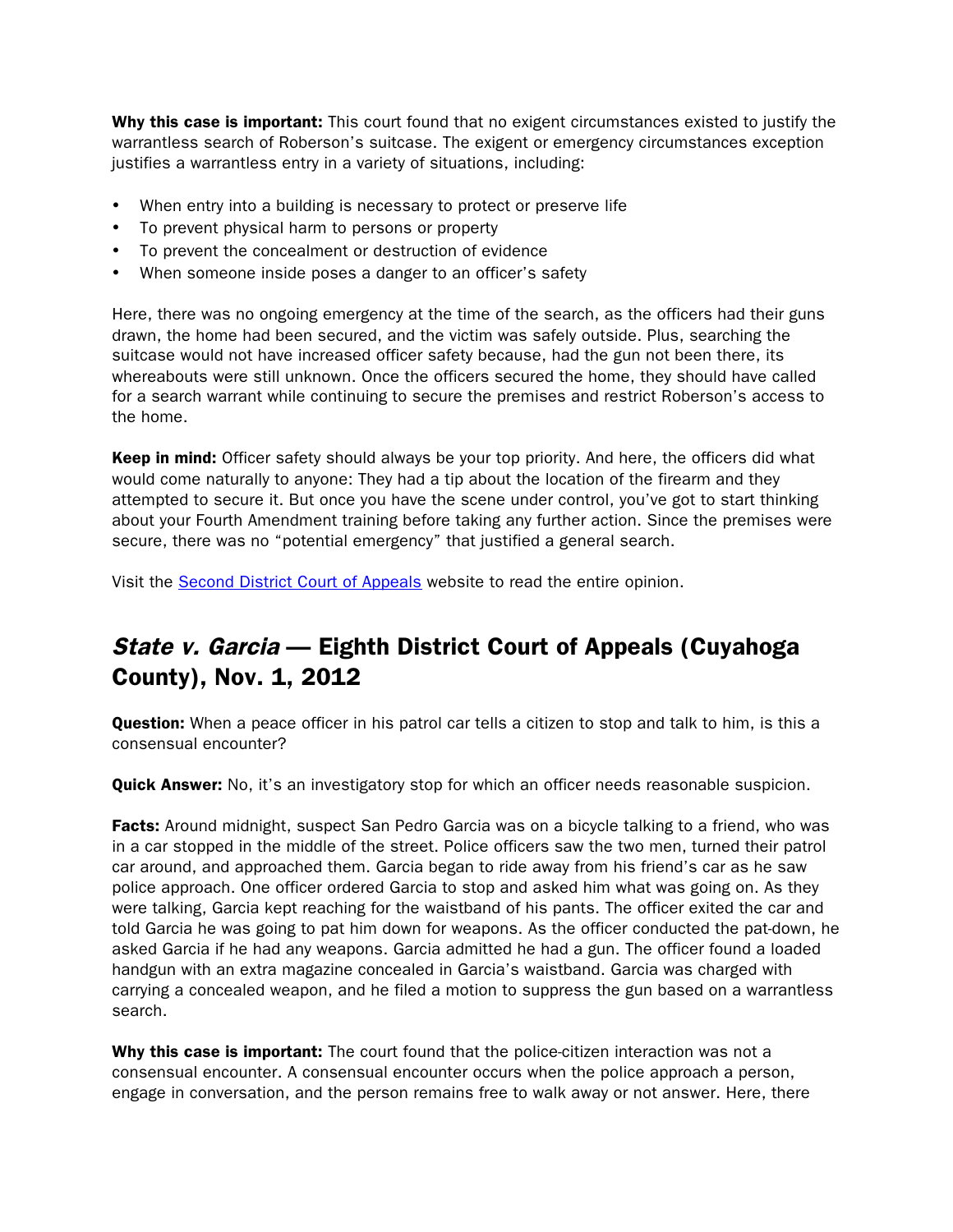Why this case is important: This court found that no exigent circumstances existed to justify the warrantless search of Roberson's suitcase. The exigent or emergency circumstances exception justifies a warrantless entry in a variety of situations, including:

- When entry into a building is necessary to protect or preserve life
- To prevent physical harm to persons or property
- To prevent the concealment or destruction of evidence
- When someone inside poses a danger to an officer's safety

Here, there was no ongoing emergency at the time of the search, as the officers had their guns drawn, the home had been secured, and the victim was safely outside. Plus, searching the suitcase would not have increased officer safety because, had the gun not been there, its whereabouts were still unknown. Once the officers secured the home, they should have called for a search warrant while continuing to secure the premises and restrict Roberson's access to the home.

**Keep in mind:** Officer safety should always be your top priority. And here, the officers did what would come naturally to anyone: They had a tip about the location of the firearm and they attempted to secure it. But once you have the scene under control, you've got to start thinking about your Fourth Amendment training before taking any further action. Since the premises were secure, there was no "potential emergency" that justified a general search.

Visit the [Second District Court of Appeals](http://www.supremecourt.ohio.gov/rod/docs/pdf/2/2012/2012-ohio-5106.pdf) website to read the entire opinion.

### State v. Garcia – Eighth District Court of Appeals (Cuyahoga County), Nov. 1, 2012

**Question:** When a peace officer in his patrol car tells a citizen to stop and talk to him, is this a consensual encounter?

**Quick Answer:** No, it's an investigatory stop for which an officer needs reasonable suspicion.

**Facts:** Around midnight, suspect San Pedro Garcia was on a bicycle talking to a friend, who was in a car stopped in the middle of the street. Police officers saw the two men, turned their patrol car around, and approached them. Garcia began to ride away from his friend's car as he saw police approach. One officer ordered Garcia to stop and asked him what was going on. As they were talking, Garcia kept reaching for the waistband of his pants. The officer exited the car and told Garcia he was going to pat him down for weapons. As the officer conducted the pat-down, he asked Garcia if he had any weapons. Garcia admitted he had a gun. The officer found a loaded handgun with an extra magazine concealed in Garcia's waistband. Garcia was charged with carrying a concealed weapon, and he filed a motion to suppress the gun based on a warrantless search.

Why this case is important: The court found that the police-citizen interaction was not a consensual encounter. A consensual encounter occurs when the police approach a person, engage in conversation, and the person remains free to walk away or not answer. Here, there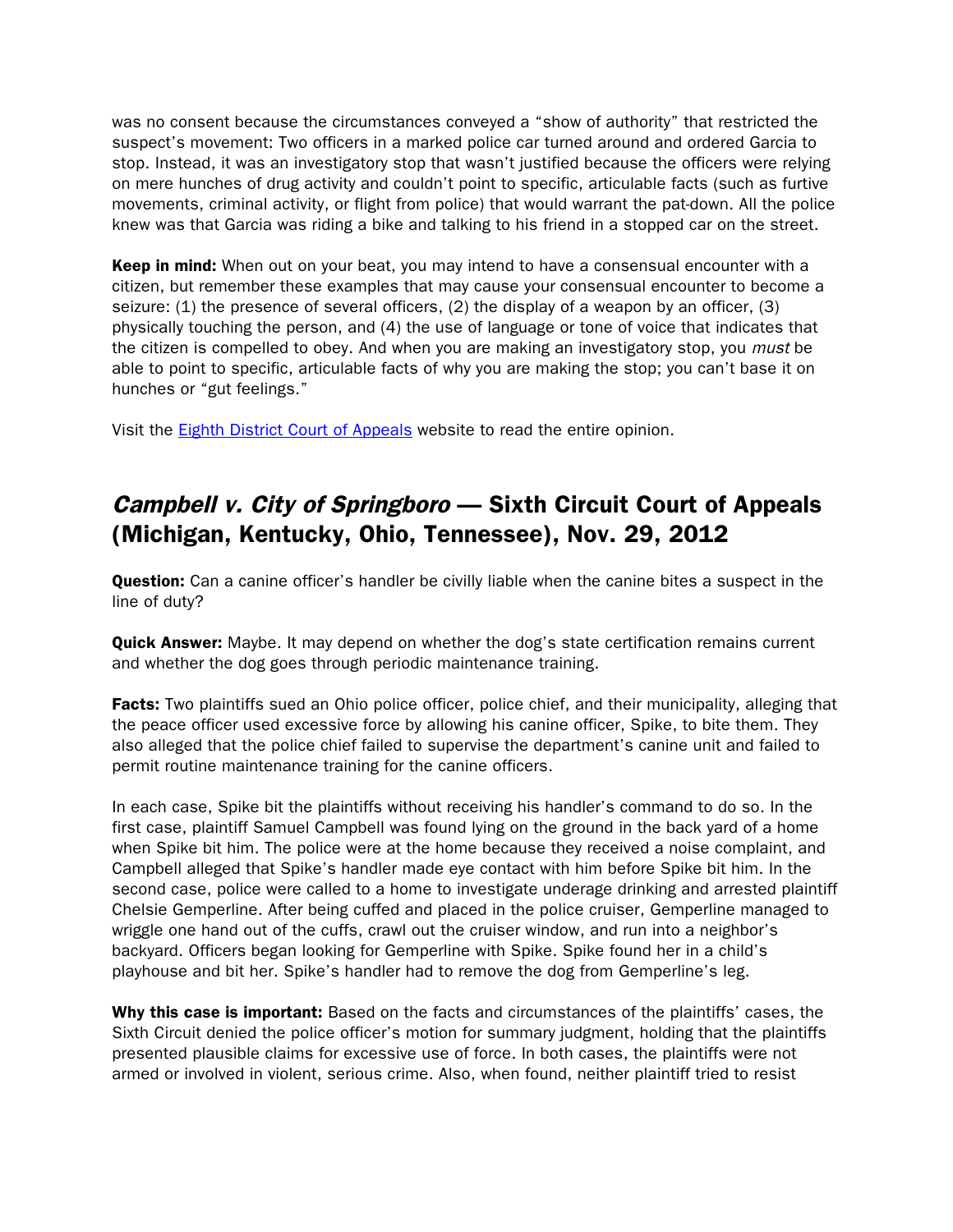was no consent because the circumstances conveyed a "show of authority" that restricted the suspect's movement: Two officers in a marked police car turned around and ordered Garcia to stop. Instead, it was an investigatory stop that wasn't justified because the officers were relying on mere hunches of drug activity and couldn't point to specific, articulable facts (such as furtive movements, criminal activity, or flight from police) that would warrant the pat-down. All the police knew was that Garcia was riding a bike and talking to his friend in a stopped car on the street.

Keep in mind: When out on your beat, you may intend to have a consensual encounter with a citizen, but remember these examples that may cause your consensual encounter to become a seizure: (1) the presence of several officers, (2) the display of a weapon by an officer, (3) physically touching the person, and (4) the use of language or tone of voice that indicates that the citizen is compelled to obey. And when you are making an investigatory stop, you must be able to point to specific, articulable facts of why you are making the stop; you can't base it on hunches or "gut feelings."

Visit the [Eighth District Court of Appeals](http://www.supremecourt.ohio.gov/rod/docs/pdf/8/2012/2012-ohio-5066.pdf) website to read the entire opinion.

# Campbell v. City of Springboro — Sixth Circuit Court of Appeals (Michigan, Kentucky, Ohio, Tennessee), Nov. 29, 2012

Question: Can a canine officer's handler be civilly liable when the canine bites a suspect in the line of duty?

**Quick Answer:** Maybe. It may depend on whether the dog's state certification remains current and whether the dog goes through periodic maintenance training.

**Facts:** Two plaintiffs sued an Ohio police officer, police chief, and their municipality, alleging that the peace officer used excessive force by allowing his canine officer, Spike, to bite them. They also alleged that the police chief failed to supervise the department's canine unit and failed to permit routine maintenance training for the canine officers.

In each case, Spike bit the plaintiffs without receiving his handler's command to do so. In the first case, plaintiff Samuel Campbell was found lying on the ground in the back yard of a home when Spike bit him. The police were at the home because they received a noise complaint, and Campbell alleged that Spike's handler made eye contact with him before Spike bit him. In the second case, police were called to a home to investigate underage drinking and arrested plaintiff Chelsie Gemperline. After being cuffed and placed in the police cruiser, Gemperline managed to wriggle one hand out of the cuffs, crawl out the cruiser window, and run into a neighbor's backyard. Officers began looking for Gemperline with Spike. Spike found her in a child's playhouse and bit her. Spike's handler had to remove the dog from Gemperline's leg.

Why this case is important: Based on the facts and circumstances of the plaintiffs' cases, the Sixth Circuit denied the police officer's motion for summary judgment, holding that the plaintiffs presented plausible claims for excessive use of force. In both cases, the plaintiffs were not armed or involved in violent, serious crime. Also, when found, neither plaintiff tried to resist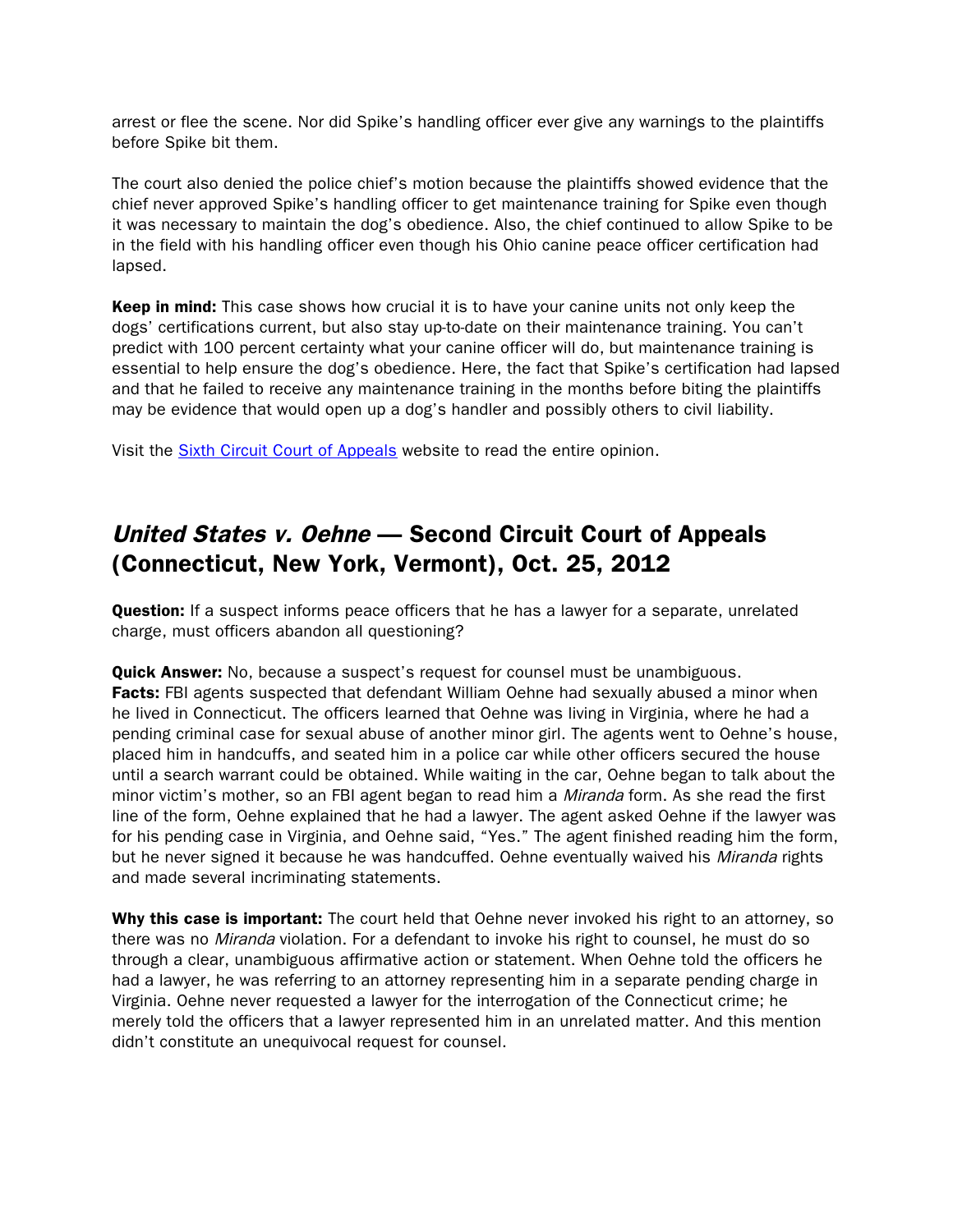arrest or flee the scene. Nor did Spike's handling officer ever give any warnings to the plaintiffs before Spike bit them.

The court also denied the police chief's motion because the plaintiffs showed evidence that the chief never approved Spike's handling officer to get maintenance training for Spike even though it was necessary to maintain the dog's obedience. Also, the chief continued to allow Spike to be in the field with his handling officer even though his Ohio canine peace officer certification had lapsed.

Keep in mind: This case shows how crucial it is to have your canine units not only keep the dogs' certifications current, but also stay up-to-date on their maintenance training. You can't predict with 100 percent certainty what your canine officer will do, but maintenance training is essential to help ensure the dog's obedience. Here, the fact that Spike's certification had lapsed and that he failed to receive any maintenance training in the months before biting the plaintiffs may be evidence that would open up a dog's handler and possibly others to civil liability.

Visit the [Sixth Circuit Court of Appeals](http://www.ca6.uscourts.gov/opinions.pdf/12a0393p-06.pdf) website to read the entire opinion.

# United States v. Oehne — Second Circuit Court of Appeals (Connecticut, New York, Vermont), Oct. 25, 2012

**Question:** If a suspect informs peace officers that he has a lawyer for a separate, unrelated charge, must officers abandon all questioning?

**Quick Answer:** No, because a suspect's request for counsel must be unambiguous. Facts: FBI agents suspected that defendant William Oehne had sexually abused a minor when he lived in Connecticut. The officers learned that Oehne was living in Virginia, where he had a pending criminal case for sexual abuse of another minor girl. The agents went to Oehne's house, placed him in handcuffs, and seated him in a police car while other officers secured the house until a search warrant could be obtained. While waiting in the car, Oehne began to talk about the minor victim's mother, so an FBI agent began to read him a *Miranda* form. As she read the first line of the form, Oehne explained that he had a lawyer. The agent asked Oehne if the lawyer was for his pending case in Virginia, and Oehne said, "Yes." The agent finished reading him the form, but he never signed it because he was handcuffed. Oehne eventually waived his Miranda rights and made several incriminating statements.

Why this case is important: The court held that Oehne never invoked his right to an attorney, so there was no *Miranda* violation. For a defendant to invoke his right to counsel, he must do so through a clear, unambiguous affirmative action or statement. When Oehne told the officers he had a lawyer, he was referring to an attorney representing him in a separate pending charge in Virginia. Oehne never requested a lawyer for the interrogation of the Connecticut crime; he merely told the officers that a lawyer represented him in an unrelated matter. And this mention didn't constitute an unequivocal request for counsel.